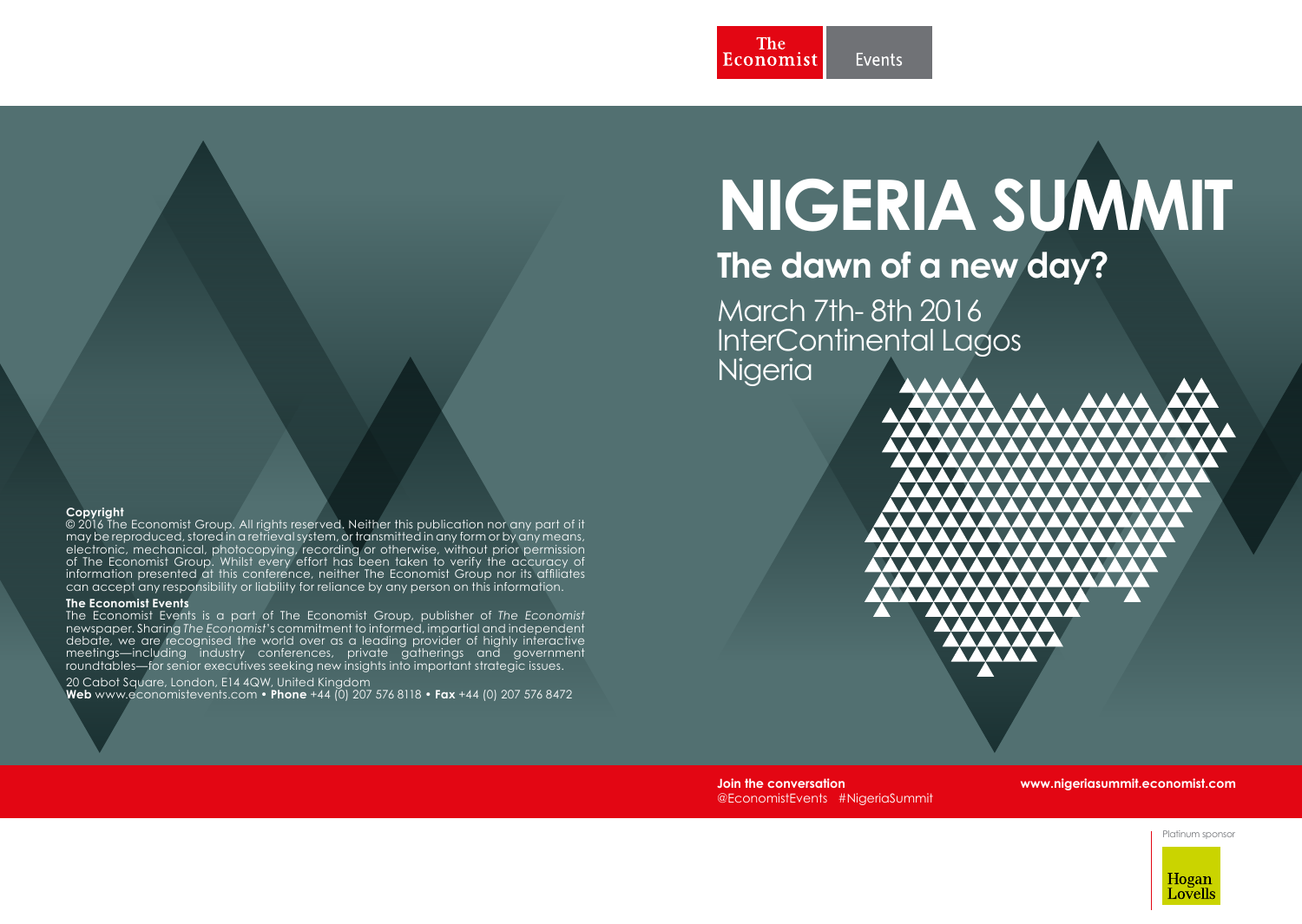# **NIGERIA SUMMIT**

# **The dawn of a new day?**

March 7th- 8th 2016 InterContinental Lagos Nigeria



**Join the conversation** @EconomistEvents #NigeriaSummit

#### **www.nigeriasummit.economist.com**

Platinum sponsor



#### **Copyright**

© 2016 The Economist Group. All rights reserved. Neither this publication nor any part of it may be reproduced, stored in a retrieval system, or transmitted in any form or by any means, electronic, mechanical, photocopying, recording or otherwise, without prior permission of The Economist Group. Whilst every effort has been taken to verify the accuracy of information presented at this conference, neither The Economist Group nor its affiliates can accept any responsibility or liability for reliance by any person on this information.

#### **The Economist Events**

The Economist Events is a part of The Economist Group, publisher of *The Economist* newspaper. Sharing *The Economist*'s commitment to informed, impartial and independent debate, we are recognised the world over as a leading provider of highly interactive meetings—including industry conferences, private gatherings and government roundtables—for senior executives seeking new insights into important strategic issues.

20 Cabot Square, London, E14 4QW, United Kingdom **Web** www.economistevents.com • **Phone** +44 (0) 207 576 8118 • **Fax** +44 (0) 207 576 8472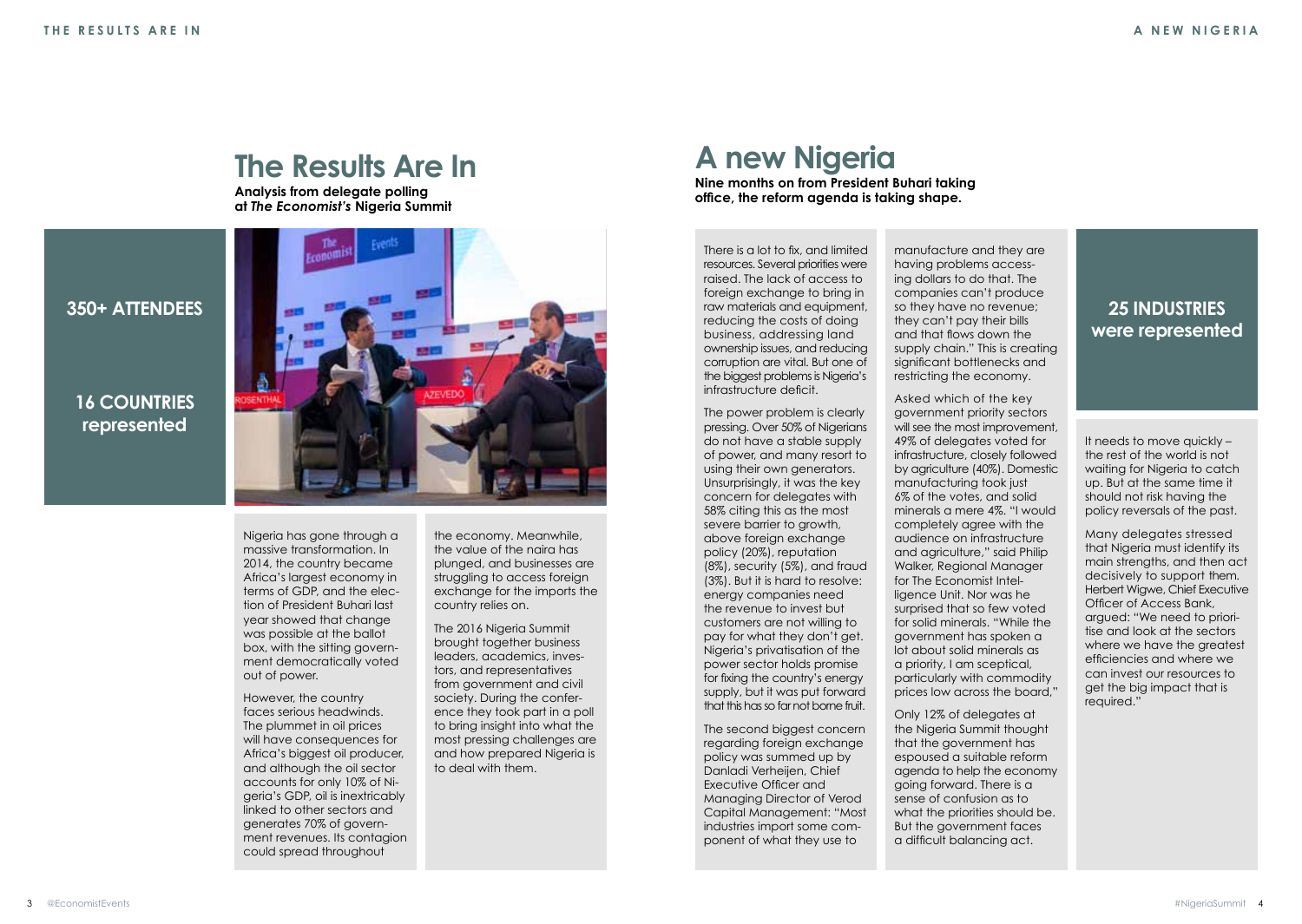

#### **16 COUNTRIES represented**



**The Results Are In**

**Analysis from delegate polling** 

Nigeria has gone through a massive transformation. In 2014, the country became Africa's largest economy in terms of GDP, and the election of President Buhari last year showed that change was possible at the ballot box, with the sitting government democratically voted out of power.

However, the country faces serious headwinds. The plummet in oil prices will have consequences for Africa's biggest oil producer, and although the oil sector accounts for only 10% of Nigeria's GDP, oil is inextricably linked to other sectors and generates 70% of government revenues. Its contagion could spread throughout

the economy. Meanwhile, the value of the naira has plunged, and businesses are struggling to access foreign exchange for the imports the country relies on.

The 2016 Nigeria Summit brought together business leaders, academics, investors, and representatives from government and civil society. During the conference they took part in a poll to bring insight into what the most pressing challenges are and how prepared Nigeria is to deal with them.

### **A new Nigeria**

**Nine months on from President Buhari taking office, the reform agenda is taking shape.** 

There is a lot to fix, and limited resources. Several priorities were raised. The lack of access to foreign exchange to bring in raw materials and equipment, reducing the costs of doing business, addressing land ownership issues, and reducing corruption are vital. But one of the biggest problems is Nigeria's infrastructure deficit.

The power problem is clearly pressing. Over 50% of Nigerians do not have a stable supply of power, and many resort to using their own generators. Unsurprisingly, it was the key concern for delegates with 58% citing this as the most severe barrier to growth. above foreign exchange policy (20%), reputation (8%), security (5%), and fraud (3%). But it is hard to resolve: energy companies need the revenue to invest but customers are not willing to pay for what they don't get. Nigeria's privatisation of the power sector holds promise for fixing the country's energy supply, but it was put forward that this has so far not borne fruit.

The second biggest concern regarding foreign exchange policy was summed up by Danladi Verheijen, Chief Executive Officer and Managing Director of Verod Capital Management: "Most industries import some component of what they use to

manufacture and they are having problems accessing dollars to do that. The companies can't produce so they have no revenue; they can't pay their bills and that flows down the supply chain." This is creating significant bottlenecks and restricting the economy.

Asked which of the key government priority sectors will see the most improvement. 49% of delegates voted for infrastructure, closely followed by agriculture (40%). Domestic manufacturing took just 6% of the votes, and solid minerals a mere 4%. "I would completely agree with the audience on infrastructure and agriculture," said Philip Walker, Regional Manager for The Economist Intelligence Unit. Nor was he surprised that so few voted for solid minerals. "While the government has spoken a lot about solid minerals as a priority, I am sceptical, particularly with commodity prices low across the board,"

Only 12% of delegates at the Nigeria Summit thought that the government has espoused a suitable reform agenda to help the economy going forward. There is a sense of confusion as to what the priorities should be. But the government faces a difficult balancing act.

#### **25 INDUSTRIES were represented**

It needs to move quickly – the rest of the world is not waiting for Nigeria to catch up. But at the same time it should not risk having the policy reversals of the past.

Many delegates stressed that Nigeria must identify its main strengths, and then act decisively to support them. Herbert Wigwe, Chief Executive Officer of Access Bank, argued: "We need to prioritise and look at the sectors where we have the greatest efficiencies and where we can invest our resources to get the big impact that is required."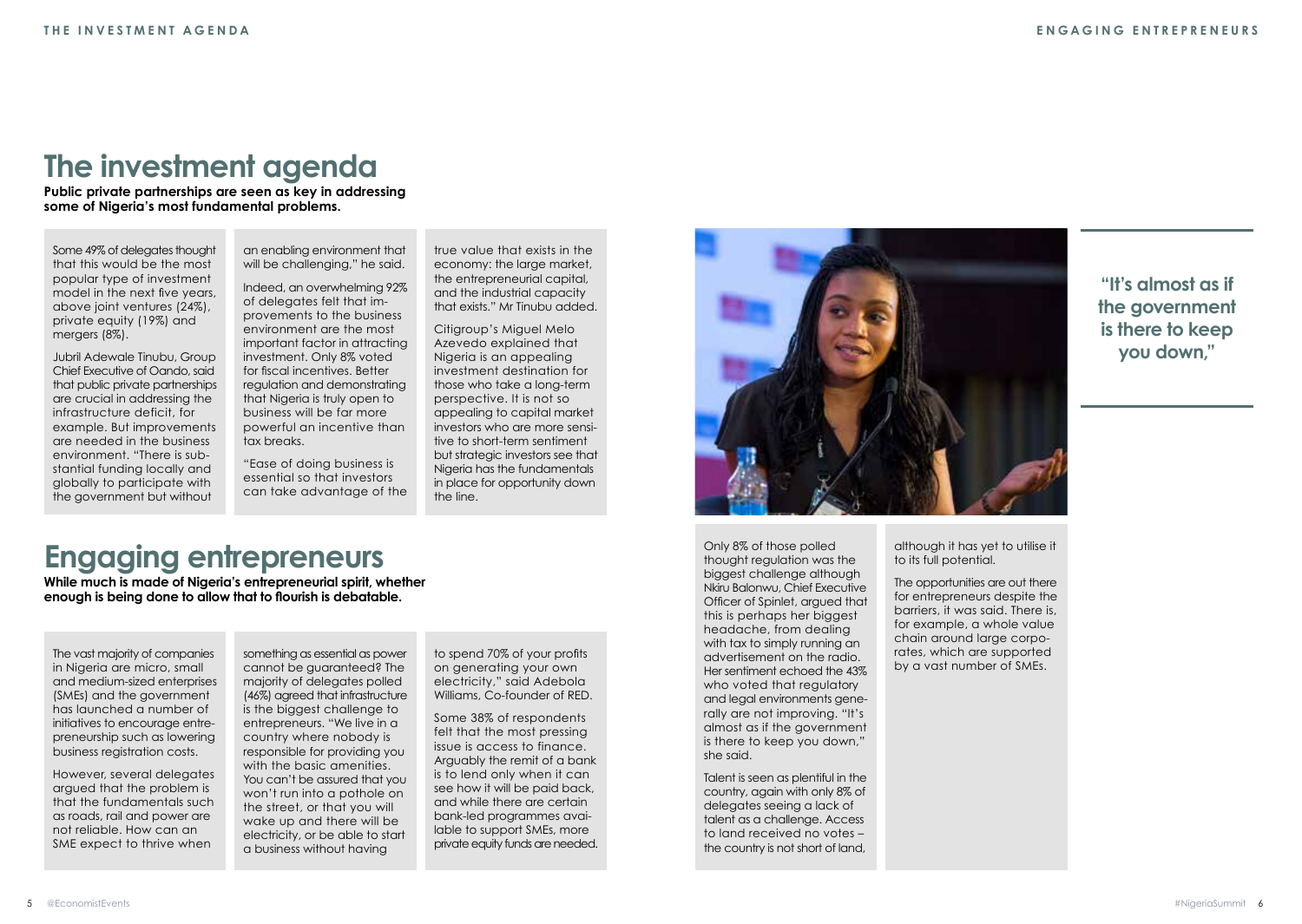## **The investment agenda**

**Public private partnerships are seen as key in addressing some of Nigeria's most fundamental problems.**

Some 49% of delegates thought that this would be the most popular type of investment model in the next five years, above joint ventures (24%), private equity (19%) and mergers (8%).

Jubril Adewale Tinubu, Group Chief Executive of Oando, said that public private partnerships are crucial in addressing the infrastructure deficit, for example. But improvements are needed in the business environment. "There is substantial funding locally and globally to participate with the government but without

an enabling environment that will be challenging." he said.

Indeed, an overwhelming 92% of delegates felt that improvements to the business environment are the most important factor in attracting investment. Only 8% voted for fiscal incentives. Better regulation and demonstrating that Nigeria is truly open to business will be far more powerful an incentive than tax breaks.

"Ease of doing business is essential so that investors can take advantage of the true value that exists in the economy: the large market, the entrepreneurial capital, and the industrial capacity that exists." Mr Tinubu added.

Citigroup's Miguel Melo Azevedo explained that Nigeria is an appealing investment destination for those who take a long-term perspective. It is not so appealing to capital market investors who are more sensitive to short-term sentiment but strategic investors see that Nigeria has the fundamentals in place for opportunity down the line.



Only 8% of those polled thought regulation was the biggest challenge although Nkiru Balonwu, Chief Executive Officer of Spinlet, argued that this is perhaps her biggest headache, from dealing with tax to simply running an advertisement on the radio. Her sentiment echoed the 43% who voted that regulatory and legal environments generally are not improving. "It's almost as if the government is there to keep you down," she said.

Talent is seen as plentiful in the country, again with only 8% of delegates seeing a lack of talent as a challenge. Access to land received no votes – the country is not short of land,

**"It's almost as if the government is there to keep you down,"**

## **Engaging entrepreneurs**

**While much is made of Nigeria's entrepreneurial spirit, whether enough is being done to allow that to flourish is debatable.**

The vast majority of companies in Nigeria are micro, small and medium-sized enterprises (SMEs) and the government has launched a number of initiatives to encourage entrepreneurship such as lowering business registration costs.

However, several delegates argued that the problem is that the fundamentals such as roads, rail and power are not reliable. How can an SME expect to thrive when

something as essential as power cannot be guaranteed? The majority of delegates polled (46%) agreed that infrastructure is the biggest challenge to entrepreneurs. "We live in a country where nobody is responsible for providing you with the basic amenities. You can't be assured that you won't run into a pothole on the street, or that you will wake up and there will be electricity, or be able to start a business without having

to spend 70% of your profits on generating your own electricity," said Adebola Williams, Co-founder of RED.

Some 38% of respondents felt that the most pressing issue is access to finance. Arguably the remit of a bank is to lend only when it can see how it will be paid back, and while there are certain bank-led programmes available to support SMEs, more private equity funds are needed. although it has yet to utilise it to its full potential.

The opportunities are out there for entrepreneurs despite the barriers, it was said. There is, for example, a whole value chain around large corporates, which are supported by a vast number of SMEs.